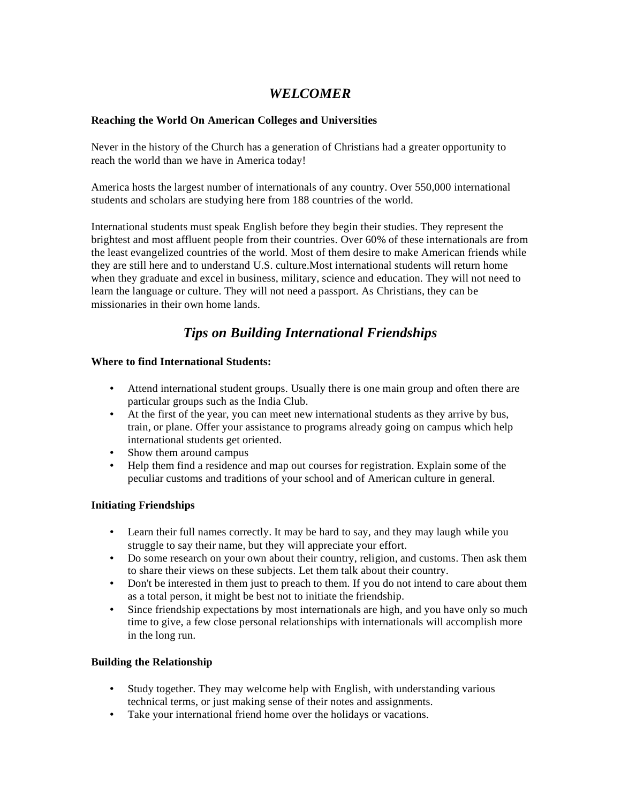### *WELCOMER*

### **Reaching the World On American Colleges and Universities**

Never in the history of the Church has a generation of Christians had a greater opportunity to reach the world than we have in America today!

America hosts the largest number of internationals of any country. Over 550,000 international students and scholars are studying here from 188 countries of the world.

International students must speak English before they begin their studies. They represent the brightest and most affluent people from their countries. Over 60% of these internationals are from the least evangelized countries of the world. Most of them desire to make American friends while they are still here and to understand U.S. culture.Most international students will return home when they graduate and excel in business, military, science and education. They will not need to learn the language or culture. They will not need a passport. As Christians, they can be missionaries in their own home lands.

# *Tips on Building International Friendships*

#### **Where to find International Students:**

- Attend international student groups. Usually there is one main group and often there are particular groups such as the India Club.
- At the first of the year, you can meet new international students as they arrive by bus, train, or plane. Offer your assistance to programs already going on campus which help international students get oriented.
- Show them around campus
- Help them find a residence and map out courses for registration. Explain some of the peculiar customs and traditions of your school and of American culture in general.

#### **Initiating Friendships**

- Learn their full names correctly. It may be hard to say, and they may laugh while you struggle to say their name, but they will appreciate your effort.
- Do some research on your own about their country, religion, and customs. Then ask them to share their views on these subjects. Let them talk about their country.
- Don't be interested in them just to preach to them. If you do not intend to care about them as a total person, it might be best not to initiate the friendship.
- Since friendship expectations by most internationals are high, and you have only so much time to give, a few close personal relationships with internationals will accomplish more in the long run.

#### **Building the Relationship**

- Study together. They may welcome help with English, with understanding various technical terms, or just making sense of their notes and assignments.
- Take your international friend home over the holidays or vacations.